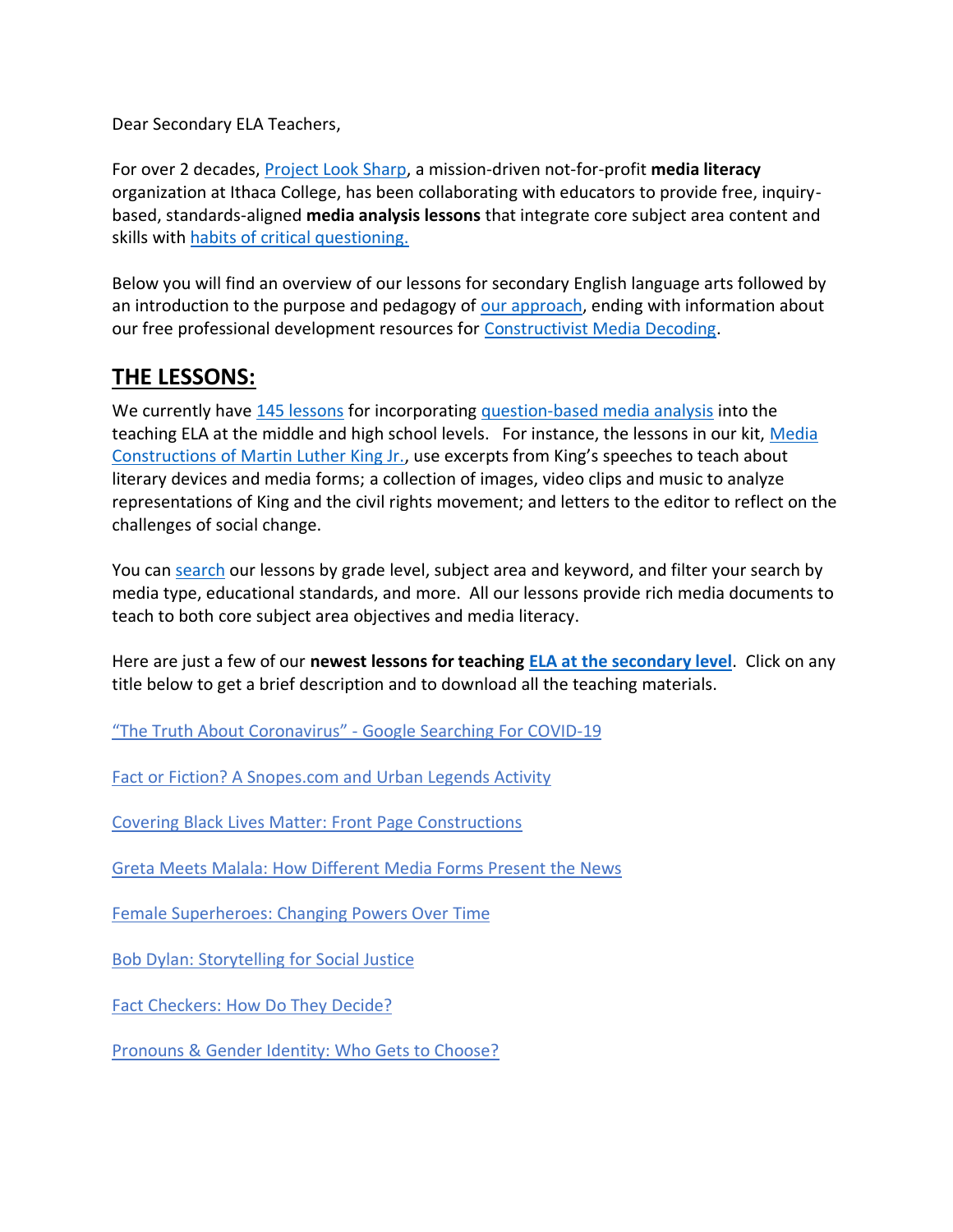Dear Secondary ELA Teachers,

For over 2 decades, [Project Look Sharp,](https://www.projectlooksharp.org/) a mission-driven not-for-profit **media literacy** organization at Ithaca College, has been collaborating with educators to provide free, inquirybased, standards-aligned **media analysis lessons** that integrate core subject area content and skills with [habits of critical questioning.](https://projectlooksharp.org/Resources%202/Key-Questions-for-Decoding%20Dec-21.pdf)

Below you will find an overview of our lessons for secondary English language arts followed by an introduction to the purpose and pedagogy of [our approach,](https://projectlooksharp.org/our-approach.php) ending with information about our free professional development resources for [Constructivist Media Decoding.](https://projectlooksharp.org/our-approach.php#Constructivist)

## **THE LESSONS:**

We currently have [145 lessons](https://projectlooksharp.org/search-result.php?limit=10&search%5Bkeyword%5D=&search%5Bcategory%5D=lessons&search_filter%5Bresource_subject_area%5D%5B%5D=english+language+arts&search_filter%5Bresource_grade_level%5D%5B%5D=middle+school&search_filter%5Bresource_grade_level%5D%5B%5D=high+school) for incorporating [question-based media analysis](https://projectlooksharp.org/our-approach.php#Constructivist) into the teaching ELA at the middle and high school levels. For instance, the lessons in our kit, [Media](https://projectlooksharp.org/front_end.php?kit_id=21)  [Constructions of Martin Luther King Jr.](https://projectlooksharp.org/front_end.php?kit_id=21), use excerpts from King's speeches to teach about literary devices and media forms; a collection of images, video clips and music to analyze representations of King and the civil rights movement; and letters to the editor to reflect on the challenges of social change.

You can [search](https://projectlooksharp.org/search-result.php?search%5Bcategory%5D=all&search%5Bkeyword%5D=&search_filter%5Bresource_subject_area%5D%5B%5D=&search_filter%5Bresource_grade_level%5D%5B%5D=) our lessons by grade level, subject area and keyword, and filter your search by media type, educational standards, and more. All our lessons provide rich media documents to teach to both core subject area objectives and media literacy.

Here are just a few of our **newest lessons for teaching [ELA at the secondary level](https://projectlooksharp.org/search-result.php?limit=10&search%5Bkeyword%5D=&search%5Bcategory%5D=lessons&search_filter%5Bresource_subject_area%5D%5B%5D=english+language+arts&search_filter%5Bresource_grade_level%5D%5B%5D=middle+school&search_filter%5Bresource_grade_level%5D%5B%5D=high+school)**. Click on any title below to get a brief description and to download all the teaching materials.

"The Truth About [Coronavirus"](https://projectlooksharp.org/front_end_resource.php?resource_id=504) - Google Searching For COVID-19

Fact or Fiction? A [Snopes.com](https://projectlooksharp.org/front_end_resource.php?resource_id=386) and Urban Legends Activity

Covering Black Lives Matter: Front Page [Constructions](https://projectlooksharp.org/front_end_resource.php?resource_id=526)

Greta Meets Malala: How [Different](https://projectlooksharp.org/front_end_resource.php?resource_id=531) Media Forms Present the News

Female [Superheroes:](https://projectlooksharp.org/front_end_resource.php?resource_id=514) Changing Powers Over Time

Bob Dylan: [Storytelling](https://projectlooksharp.org/front_end_resource.php?resource_id=552) for Social Justice

Fact [Checkers:](https://projectlooksharp.org/front_end_resource.php?resource_id=495) How Do They Decide?

[Pronouns](https://projectlooksharp.org/front_end_resource.php?resource_id=467) & Gender Identity: Who Gets to Choose?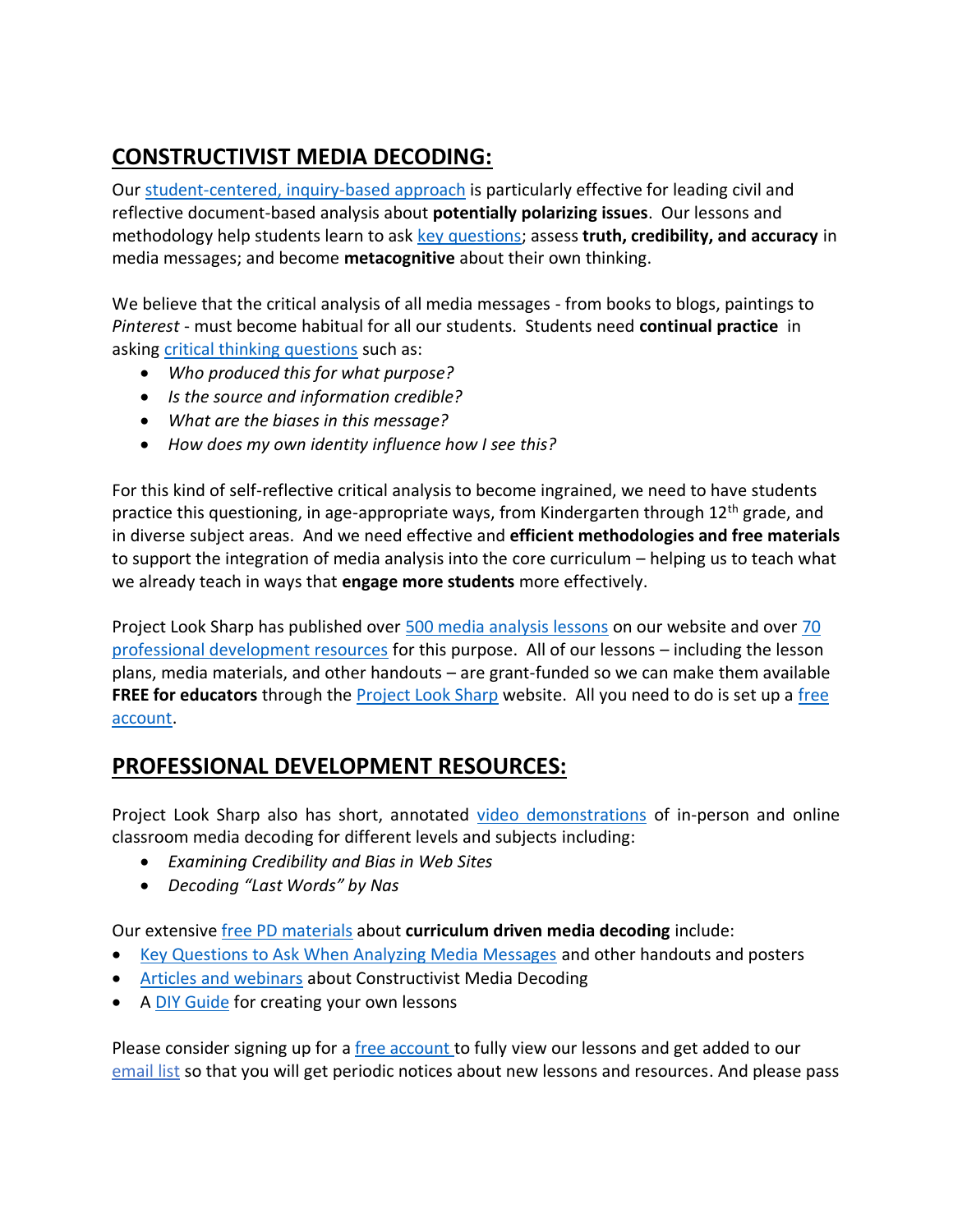## **CONSTRUCTIVIST MEDIA DECODING:**

Our [student-centered, inquiry-based approach](https://projectlooksharp.org/our-approach.php) is particularly effective for leading civil and reflective document-based analysis about **potentially polarizing issues**. Our lessons and methodology help students learn to ask [key questions;](https://projectlooksharp.org/Resources%202/Key-Questions-for-Decoding%20Dec-21.pdf) assess **truth, credibility, and accuracy** in media messages; and become **metacognitive** about their own thinking.

We believe that the critical analysis of all media messages - from books to blogs, paintings to *Pinterest* - must become habitual for all our students. Students need **continual practice** in asking [critical thinking questions](https://projectlooksharp.org/Resources%202/Project%20Look%20Sharp%20Key%20Questions%20Both.pdf) such as:

- *Who produced this for what purpose?*
- *Is the source and information credible?*
- *What are the biases in this message?*
- *How does my own identity influence how I see this?*

For this kind of self-reflective critical analysis to become ingrained, we need to have students practice this questioning, in age-appropriate ways, from Kindergarten through 12<sup>th</sup> grade, and in diverse subject areas. And we need effective and **efficient methodologies and free materials** to support the integration of media analysis into the core curriculum – helping us to teach what we already teach in ways that **engage more students** more effectively.

Project Look Sharp has published over [500 media analysis lessons](https://www.projectlooksharp.org/search-result.php?search%5Bkeyword%5D=&search%5Bcategory%5D=lessons) on our website and over [70](https://www.projectlooksharp.org/search-result.php?search%5Bkeyword%5D=&search%5Bcategory%5D=PD)  [professional development resources](https://www.projectlooksharp.org/search-result.php?search%5Bkeyword%5D=&search%5Bcategory%5D=PD) for this purpose. All of our lessons – including the lesson plans, media materials, and other handouts – are grant-funded so we can make them available **FREE for educators** through the [Project Look Sharp](https://projectlooksharp.org/index.php) website. All you need to do is set up a [free](https://projectlooksharp.org/register.php)  [account.](https://projectlooksharp.org/register.php)

## **PROFESSIONAL DEVELOPMENT RESOURCES:**

Project Look Sharp also has short, annotated [video demonstrations](https://projectlooksharp.org/our-approach.php#videos) of in-person and online classroom media decoding for different levels and subjects including:

- *Examining Credibility and Bias in Web Sites*
- *Decoding "Last Words" by Nas*

Our extensive [free PD materials](https://projectlooksharp.org/our-approach.php) about **curriculum driven media decoding** include:

- [Key Questions to Ask When Analyzing Media Messages](https://projectlooksharp.org/our-approach.php#handouts) and other handouts and posters
- [Articles and webinars](https://projectlooksharp.org/our-approach.php#articles) about Constructivist Media Decoding
- A [DIY Guide](https://projectlooksharp.org/?action=diy) for creating your own lessons

Please consider signing up for a [free account](https://projectlooksharp.org/register.php) to fully view our lessons and get added to our [email list](https://projectlooksharp.org/register.php) so that you will get periodic notices about new lessons and resources. And please pass